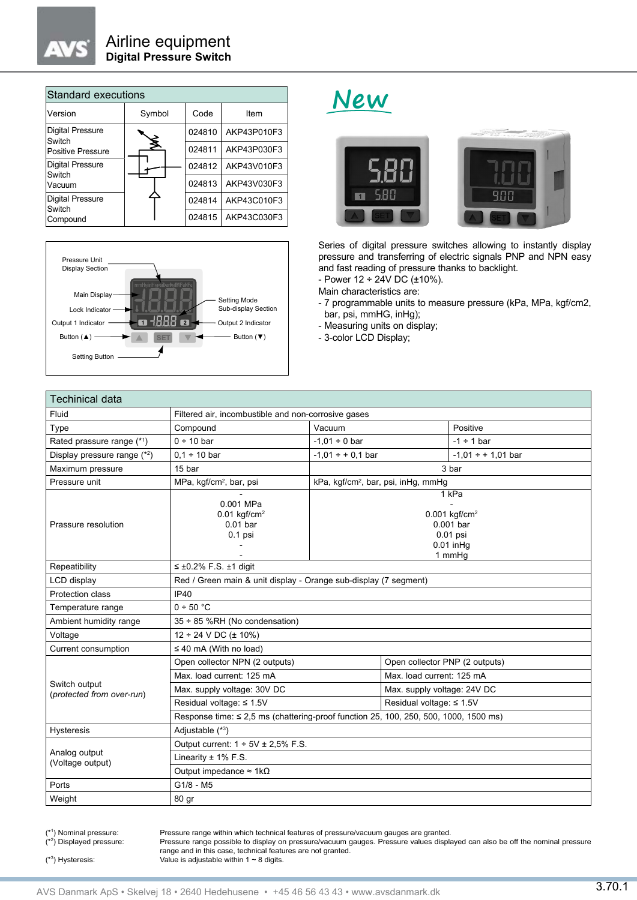

| Standard executions                           |        |        |             |  |  |  |
|-----------------------------------------------|--------|--------|-------------|--|--|--|
| Version                                       | Symbol | Code   | Item        |  |  |  |
| <b>Digital Pressure</b><br>Switch             |        | 024810 | AKP43P010F3 |  |  |  |
| <b>Positive Pressure</b>                      | ≸      | 024811 | AKP43P030F3 |  |  |  |
| <b>Digital Pressure</b><br>Switch             |        | 024812 | AKP43V010F3 |  |  |  |
| Vacuum                                        |        | 024813 | AKP43V030F3 |  |  |  |
| <b>Digital Pressure</b><br>Switch<br>Compound |        | 024814 | AKP43C010F3 |  |  |  |
|                                               |        | 024815 | AKP43C030F3 |  |  |  |



## **New**



Series of digital pressure switches allowing to instantly display pressure and transferring of electric signals PNP and NPN easy and fast reading of pressure thanks to backlight.

 $-$  Power 12 ÷ 24V DC (±10%).

Main characteristics are:

- 7 programmable units to measure pressure (kPa, MPa, kgf/cm2, bar, psi, mmHG, inHg);

- Measuring units on display;

- 3-color LCD Display;

| <b>Techinical data</b>                     |                                                                                      |                                                                                           |                                |                         |  |
|--------------------------------------------|--------------------------------------------------------------------------------------|-------------------------------------------------------------------------------------------|--------------------------------|-------------------------|--|
| Fluid                                      | Filtered air, incombustible and non-corrosive gases                                  |                                                                                           |                                |                         |  |
| Type                                       | Compound                                                                             | Vacuum                                                                                    |                                | Positive                |  |
| Rated prassure range (*1)                  | $0 \div 10$ bar                                                                      | $-1,01 \div 0$ bar                                                                        |                                | $-1 \div 1$ bar         |  |
| Display pressure range $(*2)$              | $0.1 \div 10$ bar                                                                    | $-1.01 \div + 0.1$ bar                                                                    |                                | $-1.01 \div + 1.01$ bar |  |
| Maximum pressure                           | 15 bar                                                                               | 3 bar                                                                                     |                                |                         |  |
| Pressure unit                              | MPa, kgf/cm <sup>2</sup> , bar, psi                                                  | kPa, kgf/cm <sup>2</sup> , bar, psi, inHg, mmHg                                           |                                |                         |  |
| Prassure resolution                        | 0.001 MPa<br>$0.01$ kgf/cm <sup>2</sup><br>$0.01$ bar<br>$0.1$ psi                   | 1 kPa<br>$0.001$ kgf/cm <sup>2</sup><br>0.001 bar<br>$0.01$ psi<br>$0.01$ in Hg<br>1 mmHq |                                |                         |  |
| Repeatibility                              | $\leq \pm 0.2\%$ F.S. $\pm 1$ digit                                                  |                                                                                           |                                |                         |  |
| LCD display                                | Red / Green main & unit display - Orange sub-display (7 segment)                     |                                                                                           |                                |                         |  |
| Protection class                           | IP40                                                                                 |                                                                                           |                                |                         |  |
| Temperature range                          | 0 ÷ 50 °C                                                                            |                                                                                           |                                |                         |  |
| Ambient humidity range                     | 35 ÷ 85 %RH (No condensation)                                                        |                                                                                           |                                |                         |  |
| Voltage                                    | $12 \div 24$ V DC ( $\pm$ 10%)                                                       |                                                                                           |                                |                         |  |
| Current consumption                        | $\leq$ 40 mA (With no load)                                                          |                                                                                           |                                |                         |  |
| Switch output<br>(protected from over-run) | Open collector NPN (2 outputs)                                                       |                                                                                           | Open collector PNP (2 outputs) |                         |  |
|                                            | Max. load current: 125 mA                                                            |                                                                                           | Max, load current: 125 mA      |                         |  |
|                                            | Max. supply voltage: 30V DC                                                          |                                                                                           | Max. supply voltage: 24V DC    |                         |  |
|                                            | Residual voltage: ≤ 1.5V                                                             |                                                                                           | Residual voltage: ≤ 1.5V       |                         |  |
|                                            | Response time: ≤ 2,5 ms (chattering-proof function 25, 100, 250, 500, 1000, 1500 ms) |                                                                                           |                                |                         |  |
| <b>Hysteresis</b>                          | Adjustable (*3)                                                                      |                                                                                           |                                |                         |  |
|                                            | Output current: $1 \div 5V \pm 2,5\%$ F.S.                                           |                                                                                           |                                |                         |  |
| Analog output<br>(Voltage output)          | Linearity $\pm$ 1% F.S.                                                              |                                                                                           |                                |                         |  |
|                                            | Output impedance $\approx 1k\Omega$                                                  |                                                                                           |                                |                         |  |
| Ports                                      | $G1/8 - M5$                                                                          |                                                                                           |                                |                         |  |
| Weight                                     | 80 gr                                                                                |                                                                                           |                                |                         |  |

(\*1) Nominal pressure: (\*2) Displayed pressure:

Pressure range within which technical features of pressure/vacuum gauges are granted.

Pressure range possible to display on pressure/vacuum gauges. Pressure values displayed can also be off the nominal pressure range and in this case, technical features are not granted. Value is adjustable within 1  $\sim$  8 digits.

(\*3) Hysteresis: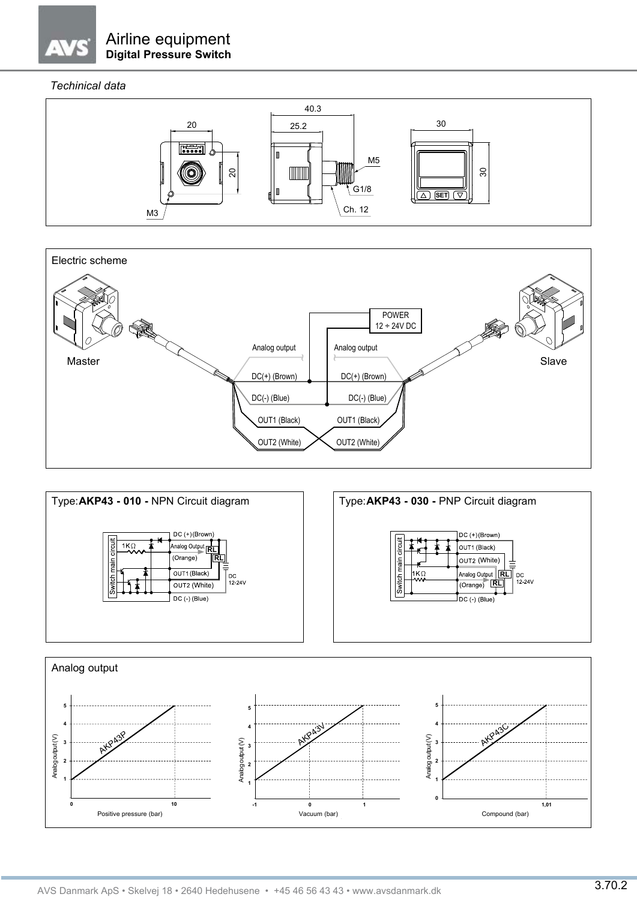## *Techinical data*